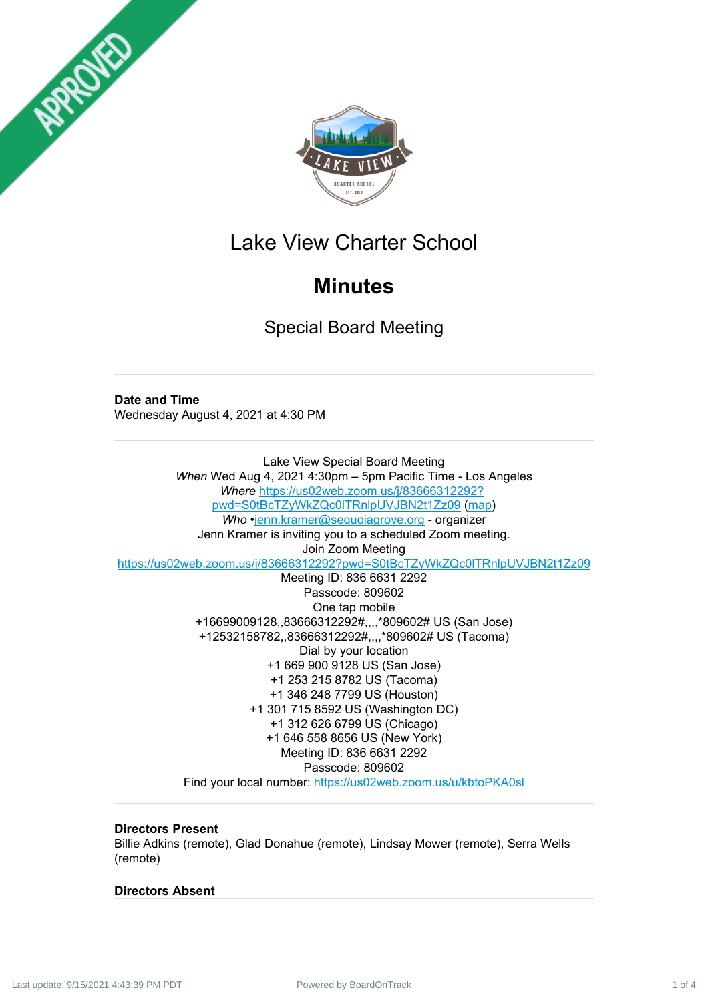



## Lake View Charter School

## **Minutes**

Special Board Meeting

**Date and Time** Wednesday August 4, 2021 at 4:30 PM

Lake View Special Board Meeting *When* Wed Aug 4, 2021 4:30pm – 5pm Pacific Time - Los Angeles *Where* [https://us02web.zoom.us/j/83666312292?](https://us02web.zoom.us/j/83666312292?pwd=S0tBcTZyWkZQc0lTRnlpUVJBN2t1Zz09) pwd=S0tBcTZyWkZQc0lTRnlpUVJBN2t1Zz09 [\(map](https://www.google.com/url?q=https%3A%2F%2Fus02web.zoom.us%2Fj%2F83666312292%3Fpwd%3DS0tBcTZyWkZQc0lTRnlpUVJBN2t1Zz09&sa=D&ust=1628375769304000&usg=AOvVaw0cobqjVG65oJ078Kawn6sS)) *Who* •[jenn.kramer@sequoiagrove.org](mailto:jenn.kramer@sequoiagrove.org) - organizer Jenn Kramer is inviting you to a scheduled Zoom meeting. Join Zoom Meeting [https://us02web.zoom.us/j/83666312292?pwd=S0tBcTZyWkZQc0lTRnlpUVJBN2t1Zz09](https://www.google.com/url?q=https%3A%2F%2Fus02web.zoom.us%2Fj%2F83666312292%3Fpwd%3DS0tBcTZyWkZQc0lTRnlpUVJBN2t1Zz09&sa=D&ust=1628375769303000&usg=AOvVaw2OwLwhPcxgr-4EyIX8V1MF) Meeting ID: 836 6631 2292 Passcode: 809602 One tap mobile +16699009128,,83666312292#,,,,\*809602# US (San Jose) +12532158782,,83666312292#,,,,\*809602# US (Tacoma) Dial by your location +1 669 900 9128 US (San Jose) +1 253 215 8782 US (Tacoma) +1 346 248 7799 US (Houston) +1 301 715 8592 US (Washington DC) +1 312 626 6799 US (Chicago) +1 646 558 8656 US (New York) Meeting ID: 836 6631 2292 Passcode: 809602 Find your local number: [https://us02web.zoom.us/u/kbtoPKA0sl](https://www.google.com/url?q=https%3A%2F%2Fus02web.zoom.us%2Fu%2FkbtoPKA0sl&sa=D&ust=1628375769304000&usg=AOvVaw2xf9J1z9cJoTcfaconDtOq)

## **Directors Present**

Billie Adkins (remote), Glad Donahue (remote), Lindsay Mower (remote), Serra Wells (remote)

## **Directors Absent**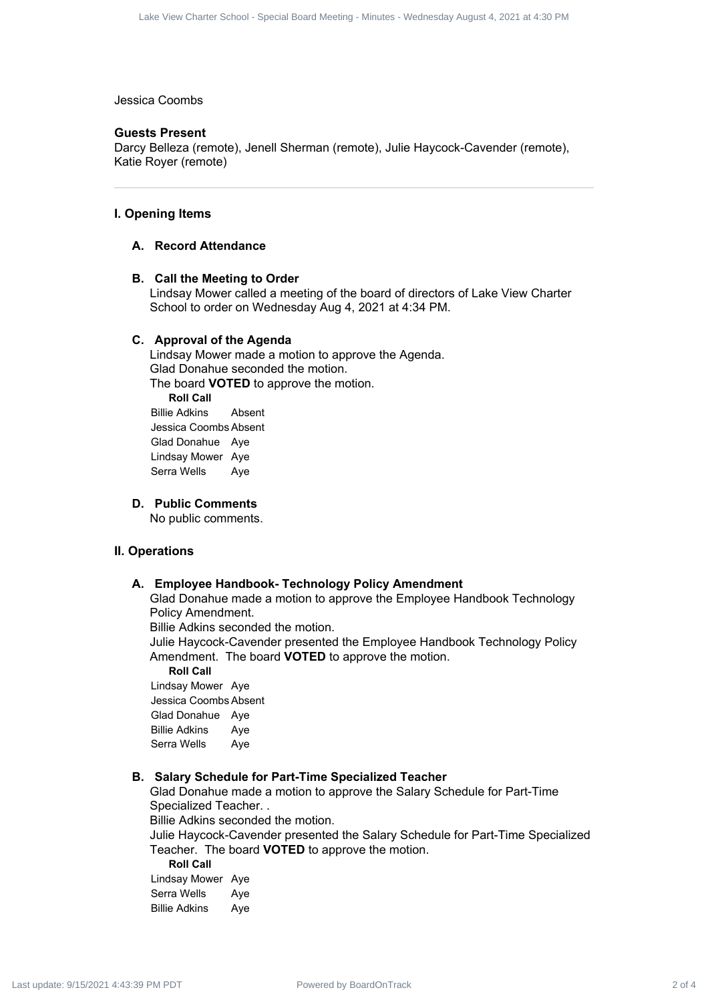#### Jessica Coombs

#### **Guests Present**

Darcy Belleza (remote), Jenell Sherman (remote), Julie Haycock-Cavender (remote), Katie Royer (remote)

#### **I. Opening Items**

#### **A. Record Attendance**

#### **B. Call the Meeting to Order**

Lindsay Mower called a meeting of the board of directors of Lake View Charter School to order on Wednesday Aug 4, 2021 at 4:34 PM.

#### **C. Approval of the Agenda**

Lindsay Mower made a motion to approve the Agenda. Glad Donahue seconded the motion. The board **VOTED** to approve the motion. **Roll Call** Billie Adkins Absent Jessica Coombs Absent Glad Donahue Aye Lindsay Mower Aye Serra Wells Aye For Contraction Commission (παιτεί το 4 Last update: 12 August 4, 2021)<br>
Society Board Meeting - Minutes - Minutes - Minutes - Minutes - Minutes - Minutes - Minutes - Minutes - Minutes - Minutes - Minutes - Minutes - Mi

#### **D. Public Comments**

No public comments.

#### **II. Operations**

#### **A. Employee Handbook- Technology Policy Amendment**

Glad Donahue made a motion to approve the Employee Handbook Technology Policy Amendment.

Billie Adkins seconded the motion.

Julie Haycock-Cavender presented the Employee Handbook Technology Policy Amendment. The board **VOTED** to approve the motion.

**Roll Call** Lindsay Mower Aye Jessica Coombs Absent Glad Donahue Aye Billie Adkins Aye Serra Wells Aye

#### **B. Salary Schedule for Part-Time Specialized Teacher**

Glad Donahue made a motion to approve the Salary Schedule for Part-Time Specialized Teacher. .

Billie Adkins seconded the motion.

Julie Haycock-Cavender presented the Salary Schedule for Part-Time Specialized Teacher. The board **VOTED** to approve the motion.

**Roll Call** Lindsay Mower Aye Serra Wells Aye Billie Adkins Aye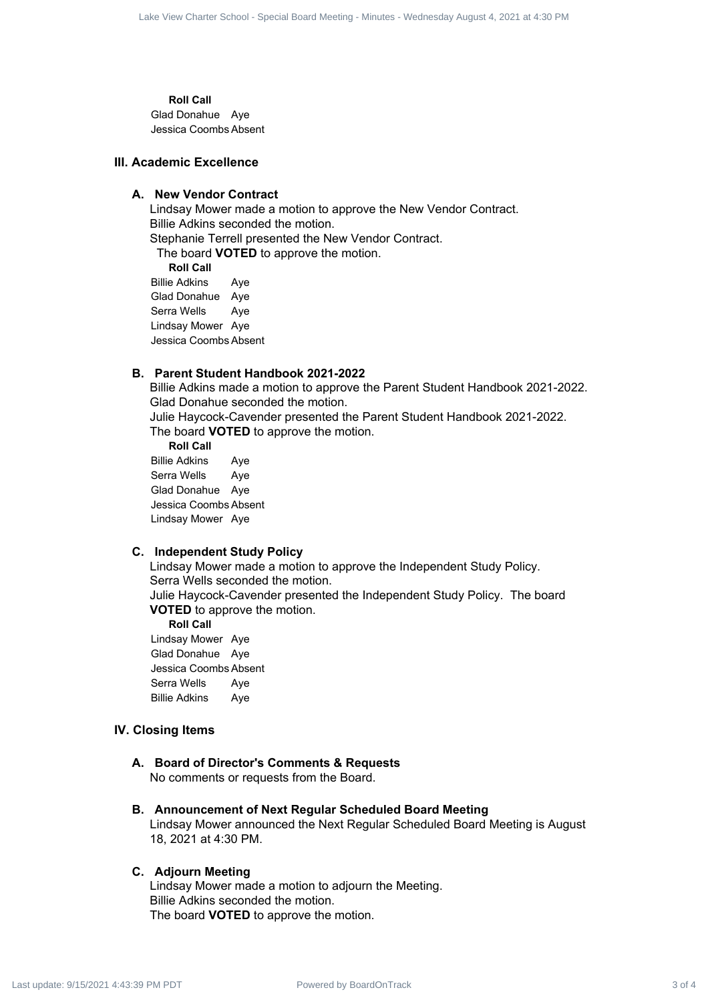**Roll Call** Glad Donahue Aye

Jessica Coombs Absent

#### **III. Academic Excellence**

#### **A. New Vendor Contract**

Lindsay Mower made a motion to approve the New Vendor Contract. Billie Adkins seconded the motion. Stephanie Terrell presented the New Vendor Contract. The board **VOTED** to approve the motion. **Roll Call** For Contract 3 of 4 Lacket 3 of 4 Lacket 3 of 4 Lacket 3 of 4 Lacket 3 of 4 Lacket 3 of 4 Lacket 3 of 4 Lacket 3 of 4 Lacket 3 of 4 Lacket 3 of 4 Lacket 3 of 4 Lacket 3 of 4 Lacket 3 of 4 Lacket 3 of 4 Lacket 3 of 4 Lacke

Billie Adkins Aye Glad Donahue Aye Serra Wells Aye Lindsay Mower Aye Jessica Coombs Absent

#### **B. Parent Student Handbook 2021-2022**

Billie Adkins made a motion to approve the Parent Student Handbook 2021-2022. Glad Donahue seconded the motion.

Julie Haycock-Cavender presented the Parent Student Handbook 2021-2022. The board **VOTED** to approve the motion.

**Roll Call** Billie Adkins Aye Serra Wells Aye Glad Donahue Aye Jessica Coombs Absent Lindsay Mower Aye

#### **C. Independent Study Policy**

Lindsay Mower made a motion to approve the Independent Study Policy. Serra Wells seconded the motion. Julie Haycock-Cavender presented the Independent Study Policy. The board **VOTED** to approve the motion.

**Roll Call** Lindsay Mower Aye Glad Donahue Aye Jessica Coombs Absent Serra Wells Aye Billie Adkins Aye

#### **IV. Closing Items**

#### **A. Board of Director's Comments & Requests** No comments or requests from the Board.

**B. Announcement of Next Regular Scheduled Board Meeting** Lindsay Mower announced the Next Regular Scheduled Board Meeting is August 18, 2021 at 4:30 PM.

#### **C. Adjourn Meeting**

Lindsay Mower made a motion to adjourn the Meeting. Billie Adkins seconded the motion. The board **VOTED** to approve the motion.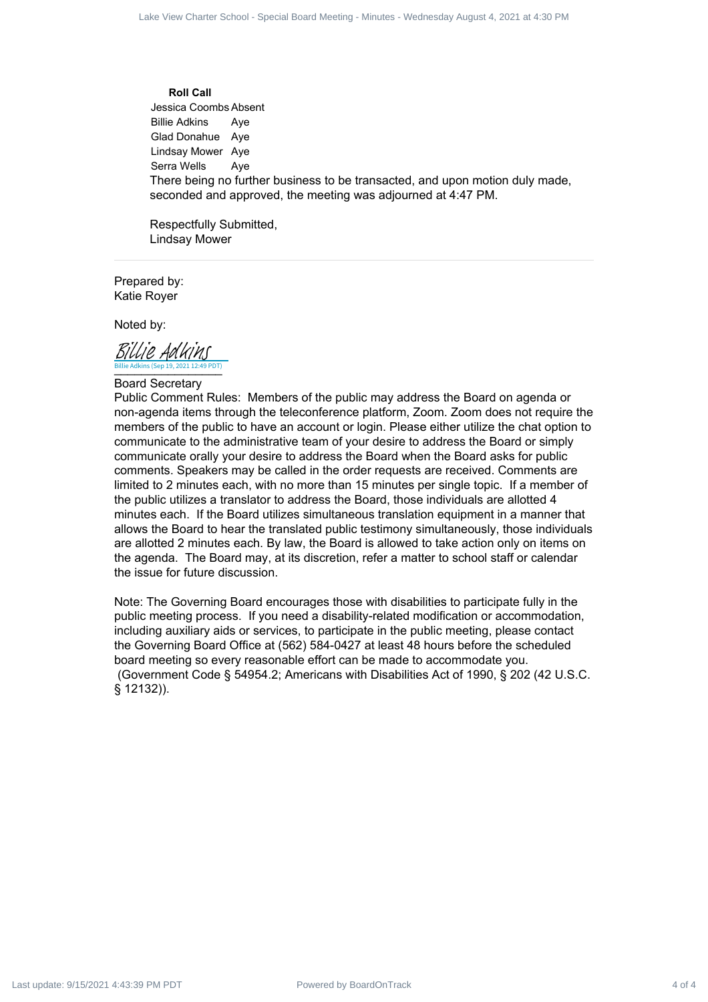**Roll Call** Jessica Coombs Absent Billie Adkins Aye Glad Donahue Aye Lindsay Mower Aye Serra Wells Aye There being no further business to be transacted, and upon motion duly made, seconded and approved, the meeting was adjourned at 4:47 PM.

Respectfully Submitted, Lindsay Mower

Prepared by: Katie Royer

Noted by:

Billie Adkins (Sep 19, 2021 12:49 PDT) Billie Adkins (Sep 19, 2021 12:49 PDT) [Billie Adkins](https://na2.documents.adobe.com/verifier?tx=CBJCHBCAABAA8O-DjCXhUZ_h0oDof4IiXUNKJLQqF2S6)

#### Board Secretary

Public Comment Rules: Members of the public may address the Board on agenda or non-agenda items through the teleconference platform, Zoom. Zoom does not require the members of the public to have an account or login. Please either utilize the chat option to communicate to the administrative team of your desire to address the Board or simply communicate orally your desire to address the Board when the Board asks for public comments. Speakers may be called in the order requests are received. Comments are limited to 2 minutes each, with no more than 15 minutes per single topic. If a member of the public utilizes a translator to address the Board, those individuals are allotted 4 minutes each. If the Board utilizes simultaneous translation equipment in a manner that allows the Board to hear the translated public testimony simultaneously, those individuals are allotted 2 minutes each. By law, the Board is allowed to take action only on items on the agenda. The Board may, at its discretion, refer a matter to school staff or calendar the issue for future discussion. For Contraction of 4 David Board School - Minutes - Wednesday August 4, 2021<br> **Power Charter School - And Contraction**<br> **Power Charter School - And Contraction**<br> **Power Charter School - And Contraction**<br> **Power Charter** 

Note: The Governing Board encourages those with disabilities to participate fully in the public meeting process. If you need a disability-related modification or accommodation, including auxiliary aids or services, to participate in the public meeting, please contact the Governing Board Office at (562) 584-0427 at least 48 hours before the scheduled board meeting so every reasonable effort can be made to accommodate you. (Government Code § 54954.2; Americans with Disabilities Act of 1990, § 202 (42 U.S.C. § 12132)).